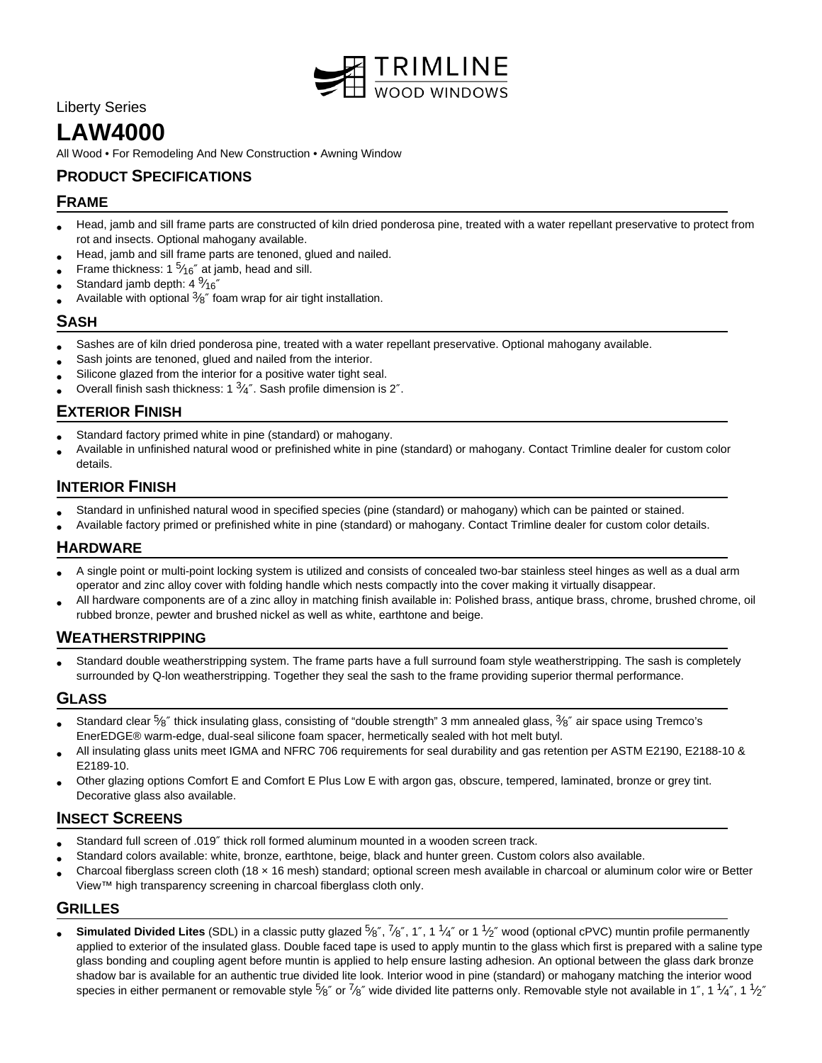

# Liberty Series

# **LAW4000**

All Wood • For Remodeling And New Construction • Awning Window

# **PRODUCT SPECIFICATIONS**

# **FRAME**

- Head, jamb and sill frame parts are constructed of kiln dried ponderosa pine, treated with a water repellant preservative to protect from rot and insects. Optional mahogany available.
- Head, jamb and sill frame parts are tenoned, glued and nailed.
- Frame thickness: 1  $5/16''$  at jamb, head and sill.
- Standard jamb depth: 4 $\frac{9}{16}$ "
- Available with optional  $\frac{3}{8}$ " foam wrap for air tight installation.

## **SASH**

- Sashes are of kiln dried ponderosa pine, treated with a water repellant preservative. Optional mahogany available.
- Sash joints are tenoned, glued and nailed from the interior.
- Silicone glazed from the interior for a positive water tight seal.
- Overall finish sash thickness: 1  $\frac{3}{4}$ ". Sash profile dimension is 2".

# **EXTERIOR FINISH**

- Standard factory primed white in pine (standard) or mahogany.
- Available in unfinished natural wood or prefinished white in pine (standard) or mahogany. Contact Trimline dealer for custom color details.

## **INTERIOR FINISH**

- Standard in unfinished natural wood in specified species (pine (standard) or mahogany) which can be painted or stained.
- Available factory primed or prefinished white in pine (standard) or mahogany. Contact Trimline dealer for custom color details.

# **HARDWARE**

- A single point or multi-point locking system is utilized and consists of concealed two-bar stainless steel hinges as well as a dual arm operator and zinc alloy cover with folding handle which nests compactly into the cover making it virtually disappear.
- All hardware components are of a zinc alloy in matching finish available in: Polished brass, antique brass, chrome, brushed chrome, oil rubbed bronze, pewter and brushed nickel as well as white, earthtone and beige.

#### **WEATHERSTRIPPING**

• Standard double weatherstripping system. The frame parts have a full surround foam style weatherstripping. The sash is completely surrounded by Q-lon weatherstripping. Together they seal the sash to the frame providing superior thermal performance.

# **GLASS**

- Standard clear 5⁄8" thick insulating glass, consisting of "double strength" 3 mm annealed glass, 3⁄8" air space using Tremco's EnerEDGE® warm-edge, dual-seal silicone foam spacer, hermetically sealed with hot melt butyl.
- All insulating glass units meet IGMA and NFRC 706 requirements for seal durability and gas retention per ASTM E2190, E2188-10 & E2189-10.
- Other glazing options Comfort E and Comfort E Plus Low E with argon gas, obscure, tempered, laminated, bronze or grey tint. Decorative glass also available.

#### **INSECT SCREENS**

- Standard full screen of .019″ thick roll formed aluminum mounted in a wooden screen track.
- Standard colors available: white, bronze, earthtone, beige, black and hunter green. Custom colors also available.
- Charcoal fiberglass screen cloth (18 × 16 mesh) standard; optional screen mesh available in charcoal or aluminum color wire or Better View™ high transparency screening in charcoal fiberglass cloth only.

#### **GRILLES**

• Simulated Divided Lites (SDL) in a classic putty glazed 5<sup>k</sup> 7%", 1", 1 1/4" or 1 <sup>1</sup>/2" wood (optional cPVC) muntin profile permanently applied to exterior of the insulated glass. Double faced tape is used to apply muntin to the glass which first is prepared with a saline type glass bonding and coupling agent before muntin is applied to help ensure lasting adhesion. An optional between the glass dark bronze shadow bar is available for an authentic true divided lite look. Interior wood in pine (standard) or mahogany matching the interior wood species in either permanent or removable style  $^5\!\!8''$  or  $^7\!\!8''$  wide divided lite patterns only. Removable style not available in 1", 1  $^1\!\!4''$ , 1  $^1\!\!2''$